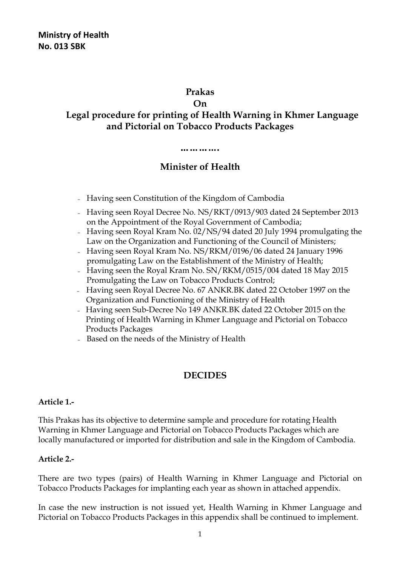### **Prakas**

#### **On**

# **Legal procedure for printing of Health Warning in Khmer Language and Pictorial on Tobacco Products Packages**

#### ……………

# **Minister of Health**

- <sup>−</sup> Having seen Constitution of the Kingdom of Cambodia
- <sup>−</sup> Having seen Royal Decree No. NS/RKT/0913/903 dated 24 September 2013 on the Appointment of the Royal Government of Cambodia;
- <sup>−</sup> Having seen Royal Kram No. 02/NS/94 dated 20 July 1994 promulgating the Law on the Organization and Functioning of the Council of Ministers;
- <sup>−</sup> Having seen Royal Kram No. NS/RKM/0196/06 dated 24 January 1996 promulgating Law on the Establishment of the Ministry of Health;
- <sup>−</sup> Having seen the Royal Kram No. SN/RKM/0515/004 dated 18 May 2015 Promulgating the Law on Tobacco Products Control;
- <sup>−</sup> Having seen Royal Decree No. 67 ANKR.BK dated 22 October 1997 on the Organization and Functioning of the Ministry of Health
- <sup>−</sup> Having seen Sub-Decree No 149 ANKR.BK dated 22 October 2015 on the Printing of Health Warning in Khmer Language and Pictorial on Tobacco Products Packages
- <sup>−</sup> Based on the needs of the Ministry of Health

# **DECIDES**

## **Article 1.-**

This Prakas has its objective to determine sample and procedure for rotating Health Warning in Khmer Language and Pictorial on Tobacco Products Packages which are locally manufactured or imported for distribution and sale in the Kingdom of Cambodia.

## **Article 2.-**

There are two types (pairs) of Health Warning in Khmer Language and Pictorial on Tobacco Products Packages for implanting each year as shown in attached appendix.

In case the new instruction is not issued yet, Health Warning in Khmer Language and Pictorial on Tobacco Products Packages in this appendix shall be continued to implement.